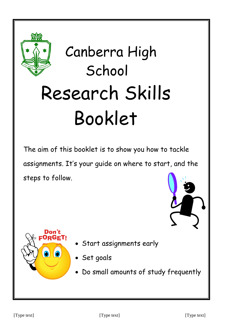

# Canberra High **School**  Research Skills Booklet

The aim of this booklet is to show you how to tackle assignments. It's your guide on where to start, and the steps to follow.





- Start assignments early
- Set goals
- Do small amounts of study frequently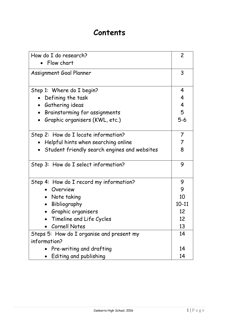## **Contents**

| How do I do research?                        |           |  |
|----------------------------------------------|-----------|--|
| Flow chart                                   |           |  |
| Assignment Goal Planner                      | 3         |  |
|                                              |           |  |
| Step 1: Where do I begin?                    | 4         |  |
| Defining the task                            | 4         |  |
| Gathering ideas                              | 4         |  |
| Brainstorming for assignments                | 5         |  |
| Graphic organisers (KWL, etc.)               | $5-6$     |  |
| Step 2: How do I locate information?         | 7         |  |
| Helpful hints when searching online          | 7         |  |
| Student friendly search engines and websites | 8         |  |
| Step 3: How do I select information?         | 9         |  |
| Step 4: How do I record my information?      | 9         |  |
| Overview                                     | 9         |  |
| Note taking<br>$\bullet$                     | 10        |  |
| Bibliography                                 | $10 - 11$ |  |
| Graphic organisers                           | 12        |  |
| Timeline and Life Cycles                     | 12        |  |
| Cornell Notes                                | 13        |  |
| Steps 5: How do I organise and present my    |           |  |
| information?                                 |           |  |
| Pre-writing and drafting                     |           |  |
| Editing and publishing                       |           |  |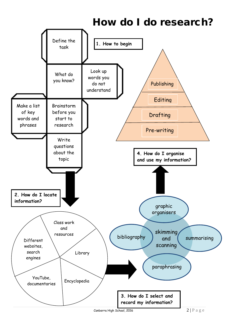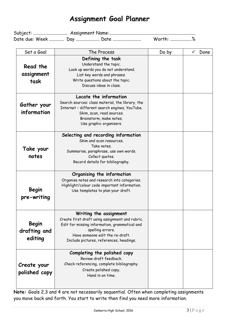## **Assignment Goal Planner**

|  | Worth: % |  |
|--|----------|--|

| Set a Goal                       | The Process                                                                                                                                                                                                                  | Do by | Done |
|----------------------------------|------------------------------------------------------------------------------------------------------------------------------------------------------------------------------------------------------------------------------|-------|------|
| Read the<br>assignment<br>task   | Defining the task<br>Understand the topic.<br>Look up words you do not understand.<br>List key words and phrases.<br>Write questions about the topic.<br>Discuss ideas in class.                                             |       |      |
| Gather your<br>information       | Locate the information<br>Search sources: class material, the library, the<br>Internet - different search engines, YouTube.<br>Skim, scan, read sources.<br>Brainstorm, make notes.<br>Use graphic organisers.               |       |      |
| Take your<br>notes               | Selecting and recording information<br>Skim and scan resources.<br>Take notes.<br>Summarise, paraphrase, use own words.<br>Collect quotes.<br>Record details for bibliography.                                               |       |      |
| Begin<br>pre-writing             | Organising the information<br>Organise notes and research into categories.<br>Highlight/colour code important information.<br>Use templates to plan your draft.                                                              |       |      |
| Begin<br>drafting and<br>editing | Writing the assignment<br>Create first draft using assignment and rubric.<br>Edit for missing information, grammatical and<br>spelling errors.<br>Have someone edit the re-draft.<br>Include pictures, references, headings. |       |      |
| Create your<br>polished copy     | Completing the polished copy<br>Review draft feedback.<br>Check referencing, complete bibliography.<br>Create polished copy.<br>Hand in on time.                                                                             |       |      |

Note: Goals 2,3 and 4 are not necessarily sequential. Often when completing assignments you move back and forth. You start to write then find you need more information.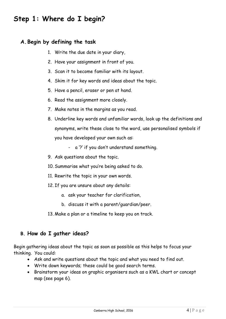## **Step 1: Where do I begin?**

#### **A.Begin by defining the task**

- 1. Write the due date in your diary,
- 2. Have your assignment in front of you.
- 3. Scan it to become familiar with its layout.
- 4. Skim it for key words and ideas about the topic.
- 5. Have a pencil, eraser or pen at hand.
- 6. Read the assignment more closely.
- 7. Make notes in the margins as you read.
- 8. Underline key words and unfamiliar words, look up the definitions and synonyms, write these close to the word, use personalised symbols if you have developed your own such as:
	- a '?' if you don't understand something.
- 9. Ask questions about the topic.
- 10. Summarise what you're being asked to do.
- 11. Rewrite the topic in your own words.
- 12. If you are unsure about any details:
	- a. ask your teacher for clarification,
	- b. discuss it with a parent/guardian/peer.
- 13. Make a plan or a timeline to keep you on track.

#### **B. How do I gather ideas?**

Begin gathering ideas about the topic as soon as possible as this helps to focus your thinking. You could:

- Ask and write questions about the topic and what you need to find out.
- Write down keywords; these could be good search terms.
- Brainstorm your ideas on graphic organisers such as a KWL chart or concept map (see page 6).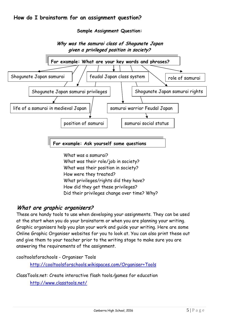#### **How do I brainstorm for an assignment question?**

**Sample Assignment Question:** 



## Why was the samurai class of Shogunate Japan

What are graphic organisers?

These are handy tools to use when developing your assignments. They can be used at the start when you do your brainstorm or when you are planning your writing. Graphic organisers help you plan your work and guide your writing. Here are some Online Graphic Organiser websites for you to look at. You can also print these out and give them to your teacher prior to the writing stage to make sure you are answering the requirements of the assignment.

Did their privileges change over time? Why?

[cooltoolsforschools -](http://www.google.com.au/url?sa=t&rct=j&q=&esrc=s&source=web&cd=1&cad=rja&ved=0CCkQFjAA&url=http%3A%2F%2Fcooltoolsforschools.wikispaces.com%2FOrganiser%2BTools&ei=CUbaUrk5gqeVBdeRgPgB&usg=AFQjCNF67RHTvOKO_-OhlQgs0fbvHdCimw&bvm=bv.59568121,d.dGI) Organiser Tools

<http://cooltoolsforschools.wikispaces.com/Organiser+Tools>

[ClassTools.net: Create interactive flash tools](http://www.google.com.au/url?sa=t&rct=j&q=&esrc=s&source=web&cd=1&cad=rja&ved=0CDsQFjAA&url=http%3A%2F%2Fwww.classtools.net%2F&ei=EEvaUqGXLsWklQWKkoHoBQ&usg=AFQjCNEbxdR1ODqtiXwnGDWg4abCxSNvBQ&bvm=bv.59568121,d.dGI)/games for education <http://www.classtools.net/>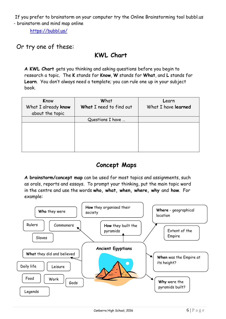If you prefer to brainstorm on your computer try the Online Brainstorming tool [bubbl.us](http://www.google.com.au/url?sa=t&rct=j&q=&esrc=s&source=web&cd=3&cad=rja&ved=0CDUQFjAC&url=http%3A%2F%2Fbubbl.us%2F&ei=CUbaUrk5gqeVBdeRgPgB&usg=AFQjCNF7Heta18rFHlF5O7wPcfMagX3sZA&bvm=bv.59568121,d.dGI)  - [brainstorm and mind map](http://www.google.com.au/url?sa=t&rct=j&q=&esrc=s&source=web&cd=3&cad=rja&ved=0CDUQFjAC&url=http%3A%2F%2Fbubbl.us%2F&ei=CUbaUrk5gqeVBdeRgPgB&usg=AFQjCNF7Heta18rFHlF5O7wPcfMagX3sZA&bvm=bv.59568121,d.dGI) online

<https://bubbl.us/>

## Or try one of these:

## **KWL Chart**

**A KWL Chart** gets you thinking and asking questions before you begin to research a topic. The **K** stands for **Know**, **W** stands for **What**, and **L** stands for **Learn**. You don't always need a template; you can rule one up in your subject book.

| Know<br>What I already know<br>about the topic | What<br>What I need to find out | Learn<br>What I have learned |
|------------------------------------------------|---------------------------------|------------------------------|
|                                                | Questions I have                |                              |
|                                                |                                 |                              |
|                                                |                                 |                              |
|                                                |                                 |                              |
|                                                |                                 |                              |
|                                                |                                 |                              |

## **Concept Maps**

**A brainstorm/concept map** can be used for most topics and assignments, such as orals, reports and essays. To prompt your thinking, put the main topic word in the centre and use the words **who, what, when, where, why** and **how**. For example:

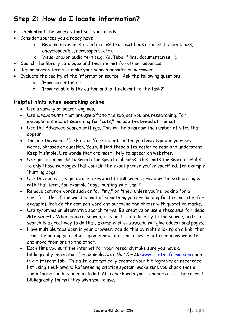## **Step 2: How do I locate information?**

- Think about the sources that suit your needs.
- Consider sources you already have:
	- o Reading material studied in class (e.g. text book articles, library books, encyclopaedias, newspapers, etc).
	- o Visual and/or audio text (e.g. YouTube, films, documentaries …).
- Search the library catalogue and the internet for other resources.
- Refine search terms to make your search broader or narrower.
- Evaluate the quality of the information source. Ask the following questions:
	- o 'How current is it?'
	- o 'How reliable is the author and is it relevant to the task?'

#### **Helpful hints when searching online**

- Use a variety of search engines.
- Use unique terms that are specific to the subject you are researching. For example, instead of searching for "cats," include the breed of the cat.
- Use the Advanced search settings. This will help narrow the number of sites that appear.
- Include the words 'for kids' or 'for students' after you have typed in your key words, phrases or question. You will find these sites easier to read and understand. Keep it simple. Use words that are most likely to appear on websites.
- Use quotation marks to search for specific phrases. This limits the search results to only those webpages that contain the exact phrase you've specified, for example "hunting dogs".
- Use the minus (-) sign before a keyword to tell search providers to exclude pages with that term, for example "dogs-hunting-wild-small".
- Remove common words such as "a," "my," or "the," unless you're looking for a specific title. If the word is part of something you are looking for (a song title, for example), include the common word and surround the phrase with quotation marks.
- Use synonyms or alternative search terms. Be creative or use a thesaurus for ideas. **Site search:** When doing research, it is best to go directly to the source, and site search is a great way to do that. Example: site: www.edu will give educational pages.
- Have multiple tabs open in your browser. You do this by right clicking on a link, then from the pop-up you select 'open in new tab'. This allows you to see many websites and move from one to the other.
- Each time you surf the internet for your research make sure you have a bibliography generator, for example Cite This for Me [www.citethisforme.com](http://www.citethisforme.com/) open in a different tab. This site automatically creates your bibliography or reference list using the Harvard Referencing citation system. Make sure you check that all the information has been included. Also check with your teachers as to the correct bibliography format they wish you to use.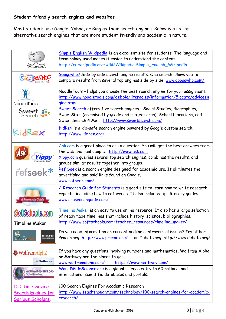#### **Student friendly search engines and websites**

Most students use Google, Yahoo, or Bing as their search engines. Below is a list of alternative search engines that are more student friendly and academic in nature.

| Simple English<br><b>WIKIPEDIA</b>                                | Simple English Wikipedia is an excellent site for students. The language and<br>terminology used makes it easier to understand the content.<br>http://en.wikipedia.org/wiki/Wikipedia:Simple_English_Wikipedia                                          |
|-------------------------------------------------------------------|---------------------------------------------------------------------------------------------------------------------------------------------------------------------------------------------------------------------------------------------------------|
| <b>CLOS AV</b>                                                    | Googawho? Side by side search engine results. One search allows you to<br>compare results from several top engines side by side. www.googawho.com/                                                                                                      |
| NoodleTools                                                       | NoodleTools - helps you choose the best search engine for your assignment.<br>http://www.noodletools.com/debbie/literacies/information/5locate/adviceen<br>gine.html                                                                                    |
| Sweet                                                             | Sweet Search offers five search engines - Social Studies, Biographies,<br>SweetSites (organised by grade and subject area), School Librarians, and<br>Sweet Search 4 Me. http://www.sweetsearch.com/                                                    |
| Kidrex                                                            | KidRex is a kid-safe search engine powered by Google custom search.<br>http://www.kidrex.org/                                                                                                                                                           |
|                                                                   | Ask.com is a great place to ask a question. You will get the best answers from<br>the web and real people. http://www.ask.com<br>Yippy.com queries several top search engines, combines the results, and<br>groups similar results together into groups |
| refseek*                                                          | Ref Seek is a search engine designed for academic use. It eliminates the<br>advertising and paid links found on Google.<br>www.refseek.com/                                                                                                             |
| <b>Research Guid</b>                                              | A Research Guide for Students is a good site to learn how to write research<br>reports, including how to reference. It also includes tips literary guides.<br>www.aresearchquide.com/                                                                   |
| SoftSchools.com<br><b>Timeline Maker</b>                          | Timeline Maker is an easy to use online resource. It also has a large selection<br>of readymade timelines that include history, science, bibliographies.<br>http://www.softschools.com/teacher_resources/timeline_maker/                                |
| EProCon.org<br><b>DEBATE</b>                                      | Do you need information on current and/or controversial issues? Try either<br>or Debate.org. http://www.debate.org/<br>Procon.org http://www.procon.org/                                                                                                |
| <b>WolframAlpha</b><br><b>Mathway</b>                             | If you have any questions involving numbers and mathematics, Wolfram Alpha<br>or Mathway are the places to go.<br>www.wolframalpha.com/<br>https://www.mathway.com/                                                                                     |
| WorldWideScience.org<br>The Global Science Gateway                | WorldWideScience.org is a global science entry to 60 national and<br>international scientific databases and portals.                                                                                                                                    |
| 100 Time-Saving<br><b>Search Engines for</b><br>Serious Scholars. | 100 Search Engines For Academic Research<br>http://www.teachthought.com/technology/100-search-engines-for-academic-<br>research/                                                                                                                        |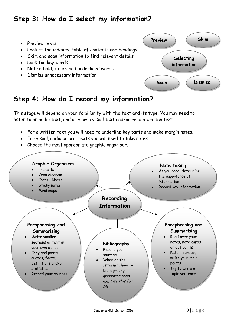## **Step 3: How do I select my information?**

- Preview texts
- Look at the indexes, table of contents and headings
- Skim and scan information to find relevant details
- Look for key words
- Notice bold, italics and underlined words
- Dismiss unnecessary information



## **Step 4: How do I record my information?**

This stage will depend on your familiarity with the text and its type. You may need to listen to an audio text, and or view a visual text and/or read a written text.

- For a written text you will need to underline key parts and make margin notes.
- For visual, audio or oral texts you will need to take notes.
- Choose the most appropriate graphic organiser.

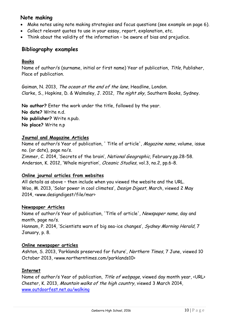#### **Note making**

- Make notes using note making strategies and focus questions (see example on page 6).
- Collect relevant quotes to use in your essay, report, explanation, etc.
- Think about the validity of the information be aware of bias and prejudice.

#### **Bibliography examples**

#### **Books**

Name of author/s (surname, initial or first name) Year of publication, Title, Publisher, Place of publication.

Gaiman, N. 2013, The ocean at the end of the lane, Headline, London. Clarke, S., Hopkins, D. & Walmsley, J. 2012, The night sky, Southern Books, Sydney.

**No author?** Enter the work under the title, followed by the year. **No date?** Write n.d. **No publisher?** Write n.pub. **No place?** Write n.p

#### **Journal and Magazine Articles**

Name of author/s Year of publication, ' Title of article', Magazine name, volume, issue no. (or date), page no/s.

Zimmer, C. 2014, 'Secrets of the brain', National Geographic, February,pp.28-58. Anderson, K. 2012, 'Whale migration', Oceanic Studies, vol.3, no.2, pp.6-8.

#### **Online journal articles from websites**

All details as above – then include when you viewed the website and the URL. Woo, M. 2013, 'Solar power in cool climates', Design Digest, March, viewed 2 May 2014, <www.designdigest/file/mar>

#### **Newspaper Articles**

Name of author/s Year of publication, 'Title of article', Newspaper name, day and month, page no/s.

Hannam, P. 2014, 'Scientists warn of big sea-ice changes', Sydney Morning Herald, 7 January, p. 8.

#### **Online newspaper articles**

Ashton, S. 2013, 'Parklands preserved for future', Northern Times, 7 June, viewed 10 October 2013, <www.northerntimes.com/parklands10>

#### **Internet**

Name of author/s Year of publication, Title of webpage, viewed day month year, <URL> Chester, K. 2013, Mountain walks of the high country, viewed 3 March 2014, [www.outdoorfest.net.au/walking](http://www.outdoorfest.net.au/walking)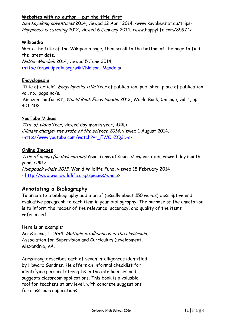#### **Websites with no author – put the title first:**

Sea kayaking adventures 2014, viewed 12 April 2014, <www.kayaker.net.au/trips> Happiness is catching 2012, viewed 6 January 2014, <www.happylife.com/85974>

#### **Wikipedia**

Write the title of the Wikipedia page, then scroll to the bottom of the page to find the latest date.

Nelson Mandela 2014, viewed 5 June 2014, <[http://en.wikipedia.org/wiki/Nelson\\_Mandela>](http://en.wikipedia.org/wiki/Nelson_Mandela)

#### **Encyclopedia**

'Title of article', Encyclopedia title Year of publication, publisher, place of publication, vol. no., page no/s.

'Amazon rainforest', World Book Encyclopedia 2012, World Book, Chicago, vol. 1, pp. 401-402.

#### **YouTube Videos**

Title of video Year, viewed day month year, <URL> Climate change: the state of the science 2014, viewed 1 August 2014, <[http://www.youtube.com/watch?v=\\_EWOrZQ3L](http://www.youtube.com/watch?v=_EWOrZQ3L-c)-c>

#### **Online Images**

Title of image (or description) Year, name of source/organisation, viewed day month year, <URL> Humpback whale 2013, World Wildlife Fund, viewed 15 February 2014,

< [http://www.worldwildlife.org/species/whale>](http://www.worldwildlife.org/species/whale)

#### **Annotating a Bibliography**

To annotate a bibliography add a brief (usually about 150 words) descriptive and evaluative paragraph to each item in your bibliography. The purpose of the annotation is to inform the reader of the relevance, accuracy, and quality of the items referenced.

Here is an example:

Armstrong, T. 1994, Multiple intelligences in the classroom, Association for Supervision and Curriculum Development, Alexandria, VA.

Armstrong describes each of seven intelligences identified by Howard Gardner. He offers an informal checklist for identifying personal strengths in the intelligences and suggests classroom applications. This book is a valuable tool for teachers at any level, with concrete suggestions for classroom applications.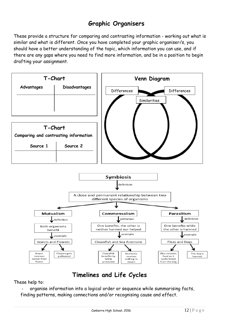## **Graphic Organisers**

These provide a structure for comparing and contrasting information - working out what is similar and what is different. Once you have completed your graphic organiser/s, you should have a better understanding of the topic, which information you can use, and if there are any gaps where you need to find more information, and be in a position to begin drafting your assignment.



## **Timelines and Life Cycles**

These help to:

organise information into a logical order or sequence while summarising facts, finding patterns, making connections and/or recognising cause and effect.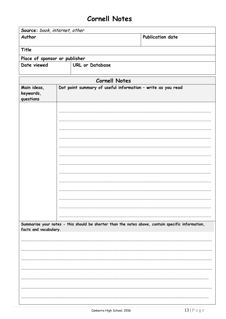## **Cornell Notes**

| Source: book, internet, other                                                                                              |                                                             |                      |                         |  |
|----------------------------------------------------------------------------------------------------------------------------|-------------------------------------------------------------|----------------------|-------------------------|--|
| Author                                                                                                                     |                                                             |                      | <b>Publication date</b> |  |
| Title                                                                                                                      |                                                             |                      |                         |  |
| Place of sponsor or publisher                                                                                              |                                                             |                      |                         |  |
| Date viewed                                                                                                                | <b>URL</b> or Database                                      |                      |                         |  |
|                                                                                                                            |                                                             | <b>Cornell Notes</b> |                         |  |
| Main ideas,<br>keywords,<br>questions                                                                                      | Dot point summary of useful information - write as you read |                      |                         |  |
|                                                                                                                            |                                                             |                      |                         |  |
| Summarise your notes - this should be shorter than the notes above, contain specific information,<br>facts and vocabulary. |                                                             |                      |                         |  |
|                                                                                                                            |                                                             |                      |                         |  |
|                                                                                                                            |                                                             |                      |                         |  |
|                                                                                                                            |                                                             |                      |                         |  |
|                                                                                                                            |                                                             |                      |                         |  |